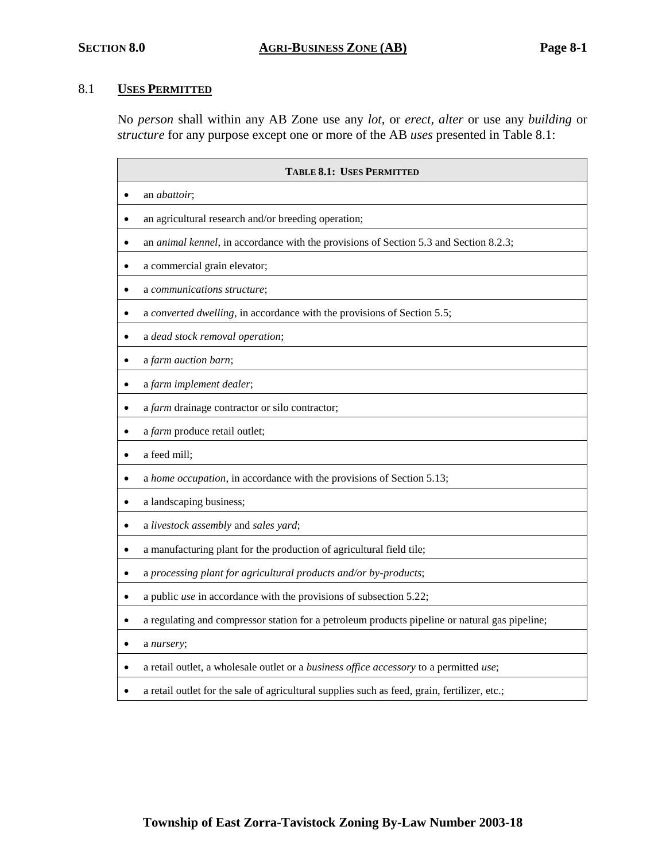# 8.1 **USES PERMITTED**

No *person* shall within any AB Zone use any *lot*, or *erect, alter* or use any *building* or *structure* for any purpose except one or more of the AB *uses* presented in Table 8.1:

| <b>TABLE 8.1: USES PERMITTED</b>                                                               |  |  |  |
|------------------------------------------------------------------------------------------------|--|--|--|
| an abattoir;                                                                                   |  |  |  |
| an agricultural research and/or breeding operation;                                            |  |  |  |
| an animal kennel, in accordance with the provisions of Section 5.3 and Section 8.2.3;          |  |  |  |
| a commercial grain elevator;                                                                   |  |  |  |
| a communications structure;                                                                    |  |  |  |
| a converted dwelling, in accordance with the provisions of Section 5.5;                        |  |  |  |
| a dead stock removal operation;                                                                |  |  |  |
| a farm auction barn;                                                                           |  |  |  |
| a farm implement dealer;                                                                       |  |  |  |
| a farm drainage contractor or silo contractor;                                                 |  |  |  |
| a farm produce retail outlet;                                                                  |  |  |  |
| a feed mill;                                                                                   |  |  |  |
| a home occupation, in accordance with the provisions of Section 5.13;                          |  |  |  |
| a landscaping business;                                                                        |  |  |  |
| a livestock assembly and sales yard;                                                           |  |  |  |
| a manufacturing plant for the production of agricultural field tile;                           |  |  |  |
| a processing plant for agricultural products and/or by-products;                               |  |  |  |
| a public use in accordance with the provisions of subsection 5.22;                             |  |  |  |
| a regulating and compressor station for a petroleum products pipeline or natural gas pipeline; |  |  |  |
| a nursery;                                                                                     |  |  |  |
| a retail outlet, a wholesale outlet or a business office accessory to a permitted use;         |  |  |  |
| a retail outlet for the sale of agricultural supplies such as feed, grain, fertilizer, etc.;   |  |  |  |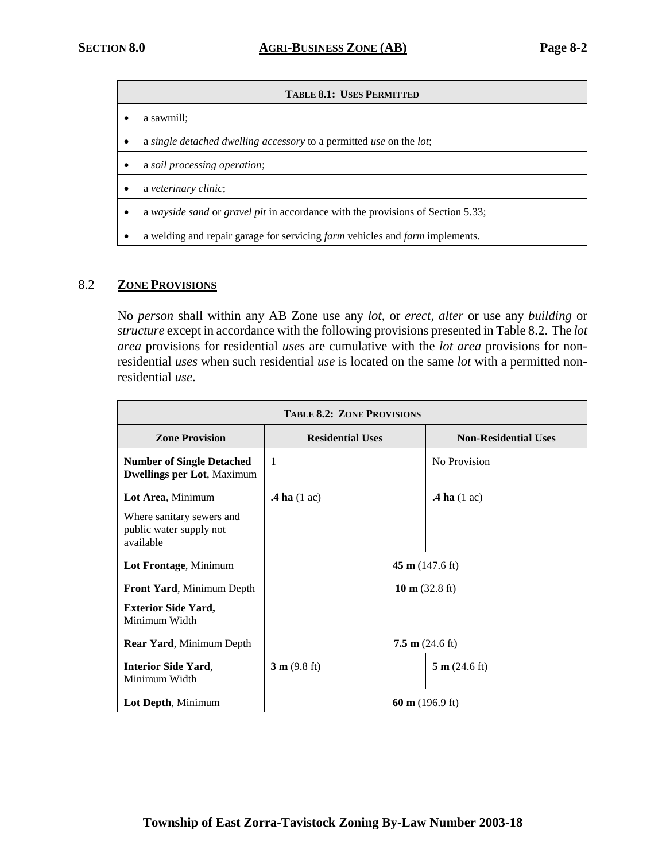#### $T$ **ABLE 8.1: USES PERMITTED**

- a sawmill;
- a *single detached dwelling accessory* to a permitted *use* on the *lot*;
- a *soil processing operation*;
- a *veterinary clinic*;
- a *wayside sand* or *gravel pit* in accordance with the provisions of Section 5.33;
- a welding and repair garage for servicing *farm* vehicles and *farm* implements.

#### 8.2 **ZONE PROVISIONS**

No *person* shall within any AB Zone use any *lot*, or *erect, alter* or use any *building* or *structure* except in accordance with the following provisions presented in Table 8.2.The *lot area* provisions for residential *uses* are cumulative with the *lot area* provisions for nonresidential *uses* when such residential *use* is located on the same *lot* with a permitted nonresidential *use*.

| <b>TABLE 8.2: ZONE PROVISIONS</b>                                     |                           |                             |  |  |
|-----------------------------------------------------------------------|---------------------------|-----------------------------|--|--|
| <b>Zone Provision</b>                                                 | <b>Residential Uses</b>   | <b>Non-Residential Uses</b> |  |  |
| <b>Number of Single Detached</b><br><b>Dwellings per Lot, Maximum</b> | $\mathbf{1}$              | No Provision                |  |  |
| Lot Area, Minimum                                                     | $\mathbf{A}$ ha (1 ac)    | $\mathbf{A}$ ha (1 ac)      |  |  |
| Where sanitary sewers and<br>public water supply not<br>available     |                           |                             |  |  |
| Lot Frontage, Minimum                                                 | $45 \text{ m}$ (147.6 ft) |                             |  |  |
| Front Yard, Minimum Depth                                             | 10 m $(32.8 \text{ ft})$  |                             |  |  |
| <b>Exterior Side Yard,</b><br>Minimum Width                           |                           |                             |  |  |
| <b>Rear Yard, Minimum Depth</b>                                       | $7.5 \text{ m}$ (24.6 ft) |                             |  |  |
| <b>Interior Side Yard,</b><br>Minimum Width                           | 3 m (9.8 ft)              | 5 m (24.6 ft)               |  |  |
| Lot Depth, Minimum                                                    | 60 m $(196.9 \text{ ft})$ |                             |  |  |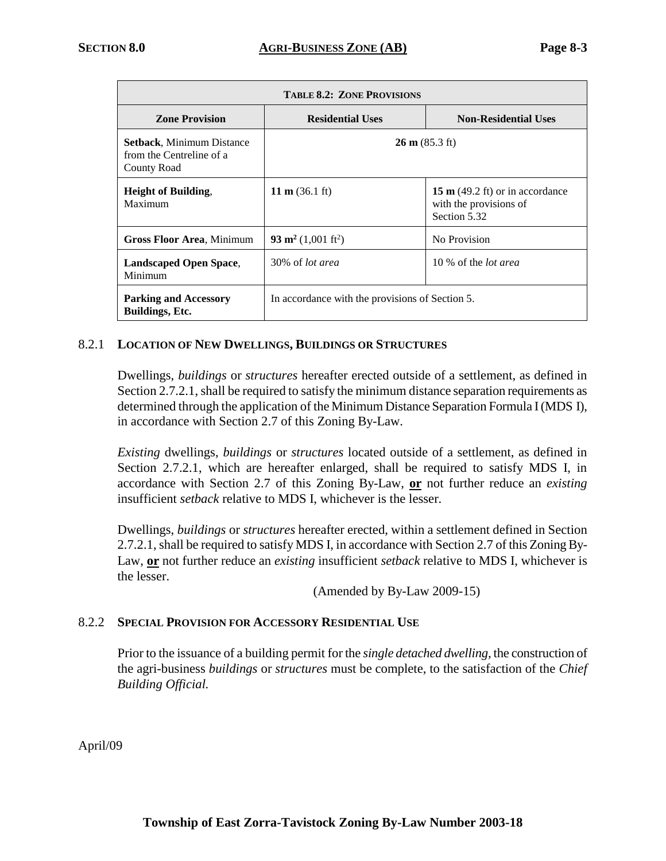| <b>TABLE 8.2: ZONE PROVISIONS</b>                                    |                                                 |                                                                                     |  |  |
|----------------------------------------------------------------------|-------------------------------------------------|-------------------------------------------------------------------------------------|--|--|
| <b>Zone Provision</b>                                                | <b>Residential Uses</b>                         | <b>Non-Residential Uses</b>                                                         |  |  |
| Setback, Minimum Distance<br>from the Centreline of a<br>County Road | $26 \text{ m} (85.3 \text{ ft})$                |                                                                                     |  |  |
| <b>Height of Building,</b><br>Maximum                                | 11 m $(36.1 \text{ ft})$                        | 15 m $(49.2 \text{ ft})$ or in accordance<br>with the provisions of<br>Section 5.32 |  |  |
| <b>Gross Floor Area, Minimum</b>                                     | 93 m <sup>2</sup> (1,001 ft <sup>2</sup> )      | No Provision                                                                        |  |  |
| <b>Landscaped Open Space,</b><br>Minimum                             | 30% of <i>lot area</i>                          | 10 % of the <i>lot area</i>                                                         |  |  |
| <b>Parking and Accessory</b><br><b>Buildings</b> , Etc.              | In accordance with the provisions of Section 5. |                                                                                     |  |  |

# 8.2.1 **LOCATION OF NEW DWELLINGS, BUILDINGS OR STRUCTURES**

Dwellings, *buildings* or *structures* hereafter erected outside of a settlement, as defined in Section 2.7.2.1, shall be required to satisfy the minimum distance separation requirements as determined through the application of the Minimum Distance Separation Formula I (MDS I), in accordance with Section 2.7 of this Zoning By-Law.

*Existing* dwellings, *buildings* or *structures* located outside of a settlement, as defined in Section 2.7.2.1, which are hereafter enlarged, shall be required to satisfy MDS I, in accordance with Section 2.7 of this Zoning By-Law, **or** not further reduce an *existing* insufficient *setback* relative to MDS I, whichever is the lesser.

Dwellings, *buildings* or *structures* hereafter erected, within a settlement defined in Section 2.7.2.1, shall be required to satisfy MDS I, in accordance with Section 2.7 of this Zoning By-Law, **or** not further reduce an *existing* insufficient *setback* relative to MDS I, whichever is the lesser.

(Amended by By-Law 2009-15)

# 8.2.2 **SPECIAL PROVISION FOR ACCESSORY RESIDENTIAL USE**

Prior to the issuance of a building permit for the *single detached dwelling,* the construction of the agri-business *buildings* or *structures* must be complete, to the satisfaction of the *Chief Building Official.*

April/09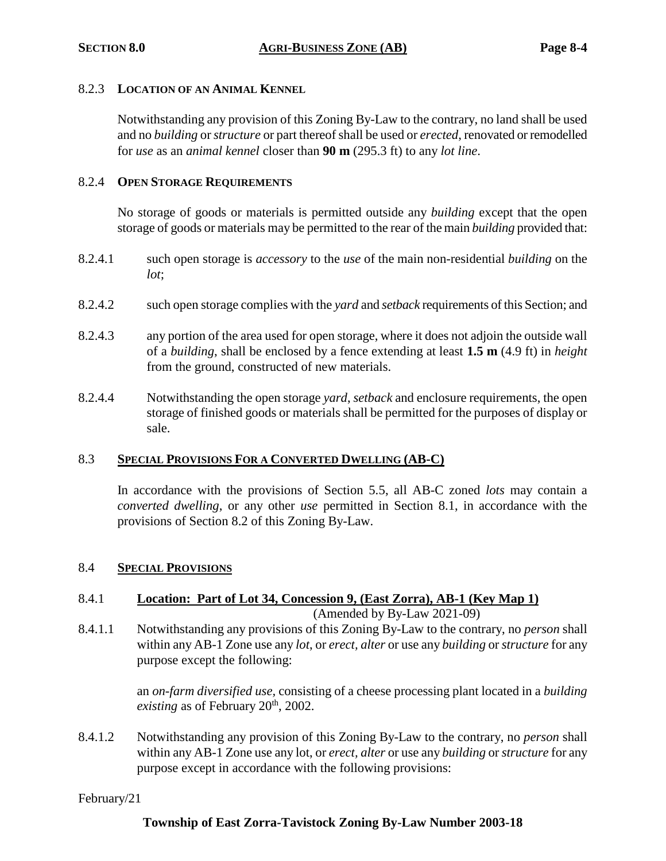#### 8.2.3 **LOCATION OF AN ANIMAL KENNEL**

Notwithstanding any provision of this Zoning By-Law to the contrary, no land shall be used and no *building* or *structure* or part thereof shall be used or *erected*, renovated or remodelled for *use* as an *animal kennel* closer than **90 m** (295.3 ft) to any *lot line*.

#### 8.2.4 **OPEN STORAGE REQUIREMENTS**

No storage of goods or materials is permitted outside any *building* except that the open storage of goods or materials may be permitted to the rear of the main *building* provided that:

- 8.2.4.1 such open storage is *accessory* to the *use* of the main non-residential *building* on the *lot*;
- 8.2.4.2 such open storage complies with the *yard* and *setback* requirements of this Section; and
- 8.2.4.3 any portion of the area used for open storage, where it does not adjoin the outside wall of a *building*, shall be enclosed by a fence extending at least **1.5 m** (4.9 ft) in *height* from the ground, constructed of new materials.
- 8.2.4.4 Notwithstanding the open storage *yard*, *setback* and enclosure requirements, the open storage of finished goods or materials shall be permitted for the purposes of display or sale.

# 8.3 **SPECIAL PROVISIONS FOR A CONVERTED DWELLING (AB-C)**

In accordance with the provisions of Section 5.5, all AB-C zoned *lots* may contain a *converted dwelling*, or any other *use* permitted in Section 8.1, in accordance with the provisions of Section 8.2 of this Zoning By-Law.

# 8.4 **SPECIAL PROVISIONS**

# 8.4.1 **Location: Part of Lot 34, Concession 9, (East Zorra), AB-1 (Key Map 1)** (Amended by By-Law 2021-09)

8.4.1.1 Notwithstanding any provisions of this Zoning By-Law to the contrary, no *person* shall within any AB-1 Zone use any *lot*, or *erect, alter* or use any *building* or *structure* for any purpose except the following:

> an *on-farm diversified use,* consisting of a cheese processing plant located in a *building existing* as of February  $20<sup>th</sup>$ ,  $2002$ .

8.4.1.2 Notwithstanding any provision of this Zoning By-Law to the contrary, no *person* shall within any AB-1 Zone use any lot, or *erect, alter* or use any *building* or *structure* for any purpose except in accordance with the following provisions:

# February/21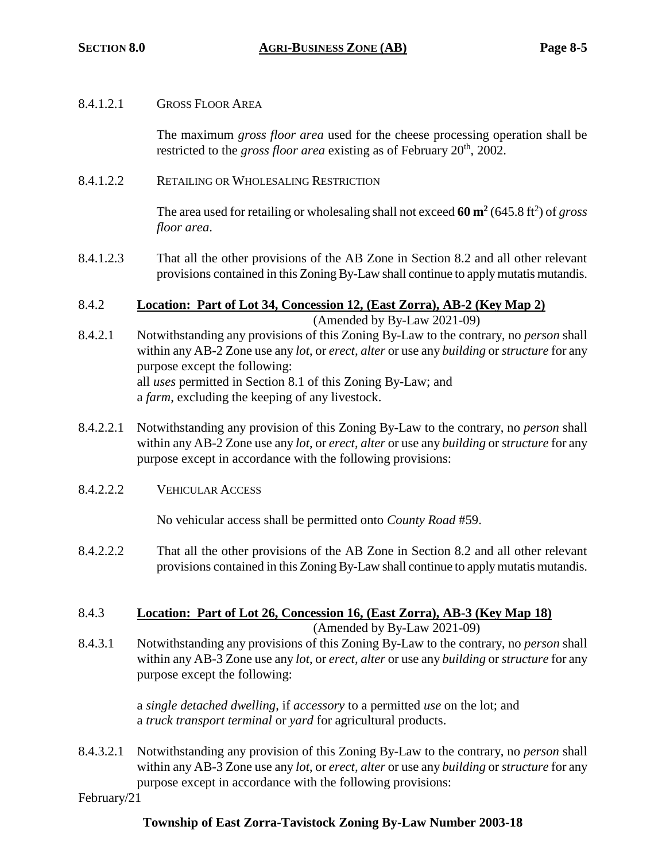# 8.4.1.2.1 GROSS FLOOR AREA

The maximum *gross floor area* used for the cheese processing operation shall be restricted to the *gross floor area* existing as of February 20<sup>th</sup>, 2002.

8.4.1.2.2 RETAILING OR WHOLESALING RESTRICTION

The area used for retailing or wholesaling shall not exceed  $60 \text{ m}^2$  (645.8 ft<sup>2</sup>) of *gross floor area*.

- 8.4.1.2.3 That all the other provisions of the AB Zone in Section 8.2 and all other relevant provisions contained in this Zoning By-Law shall continue to apply mutatis mutandis.
- 8.4.2 **Location: Part of Lot 34, Concession 12, (East Zorra), AB-2 (Key Map 2)** (Amended by By-Law 2021-09)
- 8.4.2.1 Notwithstanding any provisions of this Zoning By-Law to the contrary, no *person* shall within any AB-2 Zone use any *lot*, or *erect, alter* or use any *building* or *structure* for any purpose except the following: all *uses* permitted in Section 8.1 of this Zoning By-Law; and a *farm*, excluding the keeping of any livestock.
- 8.4.2.2.1 Notwithstanding any provision of this Zoning By-Law to the contrary, no *person* shall within any AB-2 Zone use any *lot*, or *erect, alter* or use any *building* or *structure* for any purpose except in accordance with the following provisions:
- 8.4.2.2.2 VEHICULAR ACCESS

No vehicular access shall be permitted onto *County Road* #59.

- 8.4.2.2.2 That all the other provisions of the AB Zone in Section 8.2 and all other relevant provisions contained in this Zoning By-Law shall continue to apply mutatis mutandis.
- 8.4.3 **Location: Part of Lot 26, Concession 16, (East Zorra), AB-3 (Key Map 18)**

(Amended by By-Law 2021-09)

8.4.3.1 Notwithstanding any provisions of this Zoning By-Law to the contrary, no *person* shall within any AB-3 Zone use any *lot*, or *erect, alter* or use any *building* or *structure* for any purpose except the following:

> a *single detached dwelling*, if *accessory* to a permitted *use* on the lot; and a *truck transport terminal* or *yard* for agricultural products.

8.4.3.2.1 Notwithstanding any provision of this Zoning By-Law to the contrary, no *person* shall within any AB-3 Zone use any *lot*, or *erect, alter* or use any *building* or *structure* for any purpose except in accordance with the following provisions:

February/21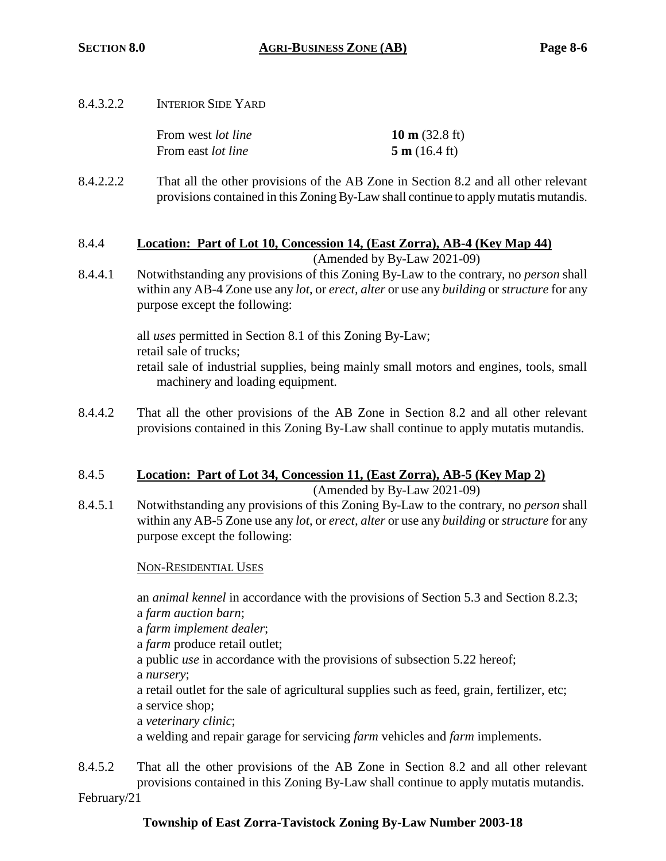8.4.3.2.2 INTERIOR SIDE YARD

| From west <i>lot line</i> | 10 m $(32.8 \text{ ft})$ |
|---------------------------|--------------------------|
| From east <i>lot line</i> | 5 m (16.4 ft)            |

8.4.2.2.2 That all the other provisions of the AB Zone in Section 8.2 and all other relevant provisions contained in this Zoning By-Law shall continue to apply mutatis mutandis.

# 8.4.4 **Location: Part of Lot 10, Concession 14, (East Zorra), AB-4 (Key Map 44)**

(Amended by By-Law 2021-09)

8.4.4.1 Notwithstanding any provisions of this Zoning By-Law to the contrary, no *person* shall within any AB-4 Zone use any *lot*, or *erect, alter* or use any *building* or *structure* for any purpose except the following:

> all *uses* permitted in Section 8.1 of this Zoning By-Law; retail sale of trucks; retail sale of industrial supplies, being mainly small motors and engines, tools, small machinery and loading equipment.

8.4.4.2 That all the other provisions of the AB Zone in Section 8.2 and all other relevant provisions contained in this Zoning By-Law shall continue to apply mutatis mutandis.

#### 8.4.5 **Location: Part of Lot 34, Concession 11, (East Zorra), AB-5 (Key Map 2)** (Amended by By-Law 2021-09)

8.4.5.1 Notwithstanding any provisions of this Zoning By-Law to the contrary, no *person* shall within any AB-5 Zone use any *lot*, or *erect, alter* or use any *building* or *structure* for any purpose except the following:

# NON-RESIDENTIAL USES

an *animal kennel* in accordance with the provisions of Section 5.3 and Section 8.2.3;

a *farm auction barn*; a *farm implement dealer*; a *farm* produce retail outlet; a public *use* in accordance with the provisions of subsection 5.22 hereof; a *nursery*; a retail outlet for the sale of agricultural supplies such as feed, grain, fertilizer, etc; a service shop; a *veterinary clinic*; a welding and repair garage for servicing *farm* vehicles and *farm* implements.

8.4.5.2 That all the other provisions of the AB Zone in Section 8.2 and all other relevant provisions contained in this Zoning By-Law shall continue to apply mutatis mutandis.

February/21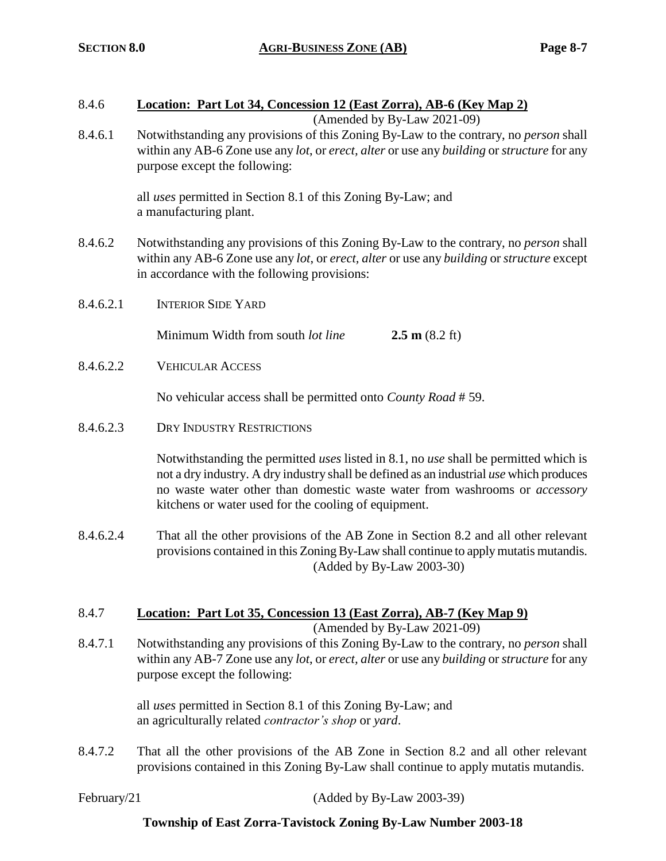# 8.4.6 **Location: Part Lot 34, Concession 12 (East Zorra), AB-6 (Key Map 2)**

(Amended by By-Law 2021-09)

8.4.6.1 Notwithstanding any provisions of this Zoning By-Law to the contrary, no *person* shall within any AB-6 Zone use any *lot*, or *erect, alter* or use any *building* or *structure* for any purpose except the following:

> all *uses* permitted in Section 8.1 of this Zoning By-Law; and a manufacturing plant.

- 8.4.6.2 Notwithstanding any provisions of this Zoning By-Law to the contrary, no *person* shall within any AB-6 Zone use any *lot*, or *erect, alter* or use any *building* or *structure* except in accordance with the following provisions:
- 8.4.6.2.1 INTERIOR SIDE YARD

Minimum Width from south *lot line* **2.5 m** (8.2 ft)

8.4.6.2.2 VEHICULAR ACCESS

No vehicular access shall be permitted onto *County Road* # 59.

8.4.6.2.3 DRY INDUSTRY RESTRICTIONS

Notwithstanding the permitted *uses* listed in 8.1, no *use* shall be permitted which is not a dry industry. A dry industry shall be defined as an industrial *use* which produces no waste water other than domestic waste water from washrooms or *accessory* kitchens or water used for the cooling of equipment.

8.4.6.2.4 That all the other provisions of the AB Zone in Section 8.2 and all other relevant provisions contained in this Zoning By-Law shall continue to apply mutatis mutandis. (Added by By-Law 2003-30)

# 8.4.7 **Location: Part Lot 35, Concession 13 (East Zorra), AB-7 (Key Map 9)**

(Amended by By-Law 2021-09)

8.4.7.1 Notwithstanding any provisions of this Zoning By-Law to the contrary, no *person* shall within any AB-7 Zone use any *lot*, or *erect, alter* or use any *building* or *structure* for any purpose except the following:

> all *uses* permitted in Section 8.1 of this Zoning By-Law; and an agriculturally related *contractor's shop* or *yard*.

8.4.7.2 That all the other provisions of the AB Zone in Section 8.2 and all other relevant provisions contained in this Zoning By-Law shall continue to apply mutatis mutandis.

February/21 (Added by By-Law 2003-39)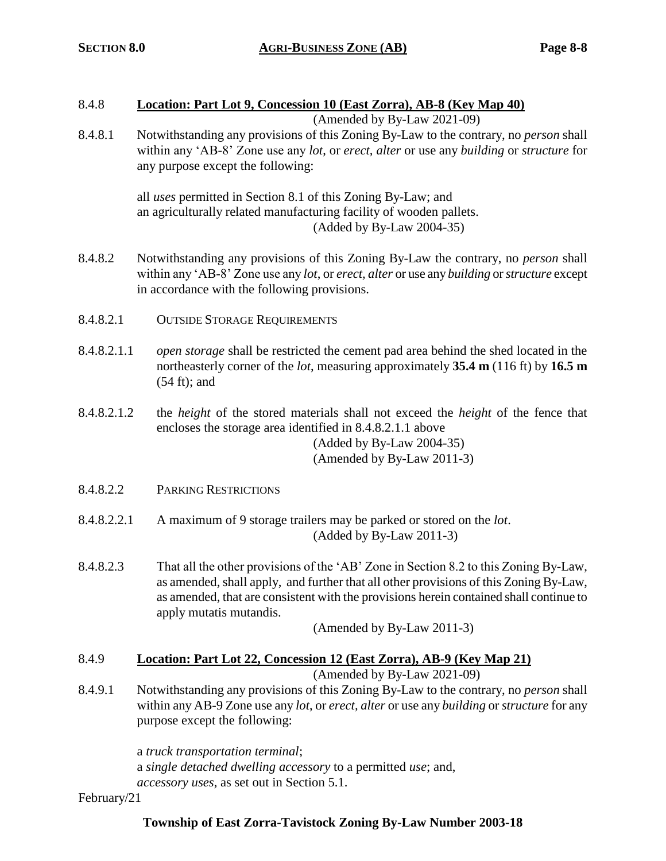# 8.4.8 **Location: Part Lot 9, Concession 10 (East Zorra), AB-8 (Key Map 40)**

(Amended by By-Law 2021-09)

8.4.8.1 Notwithstanding any provisions of this Zoning By-Law to the contrary, no *person* shall within any 'AB-8' Zone use any *lot*, or *erect, alter* or use any *building* or *structure* for any purpose except the following:

> all *uses* permitted in Section 8.1 of this Zoning By-Law; and an agriculturally related manufacturing facility of wooden pallets. (Added by By-Law 2004-35)

- 8.4.8.2 Notwithstanding any provisions of this Zoning By-Law the contrary, no *person* shall within any 'AB-8' Zone use any *lot*, or *erect, alter* or use any *building* or *structure* except in accordance with the following provisions.
- 8.4.8.2.1 OUTSIDE STORAGE REQUIREMENTS
- 8.4.8.2.1.1 *open storage* shall be restricted the cement pad area behind the shed located in the northeasterly corner of the *lot*, measuring approximately **35.4 m** (116 ft) by **16.5 m**  (54 ft); and
- 8.4.8.2.1.2 the *height* of the stored materials shall not exceed the *height* of the fence that encloses the storage area identified in 8.4.8.2.1.1 above (Added by By-Law 2004-35)

(Amended by By-Law 2011-3)

- 8.4.8.2.2 PARKING RESTRICTIONS
- 8.4.8.2.2.1 A maximum of 9 storage trailers may be parked or stored on the *lot*. (Added by By-Law 2011-3)
- 8.4.8.2.3 That all the other provisions of the 'AB' Zone in Section 8.2 to this Zoning By-Law, as amended, shall apply, and further that all other provisions of this Zoning By-Law, as amended, that are consistent with the provisions herein contained shall continue to apply mutatis mutandis.

(Amended by By-Law 2011-3)

# 8.4.9 **Location: Part Lot 22, Concession 12 (East Zorra), AB-9 (Key Map 21)**

(Amended by By-Law 2021-09)

8.4.9.1 Notwithstanding any provisions of this Zoning By-Law to the contrary, no *person* shall within any AB-9 Zone use any *lot*, or *erect, alter* or use any *building* or *structure* for any purpose except the following:

> a *truck transportation terminal*; a *single detached dwelling accessory* to a permitted *use*; and, *accessory uses*, as set out in Section 5.1.

February/21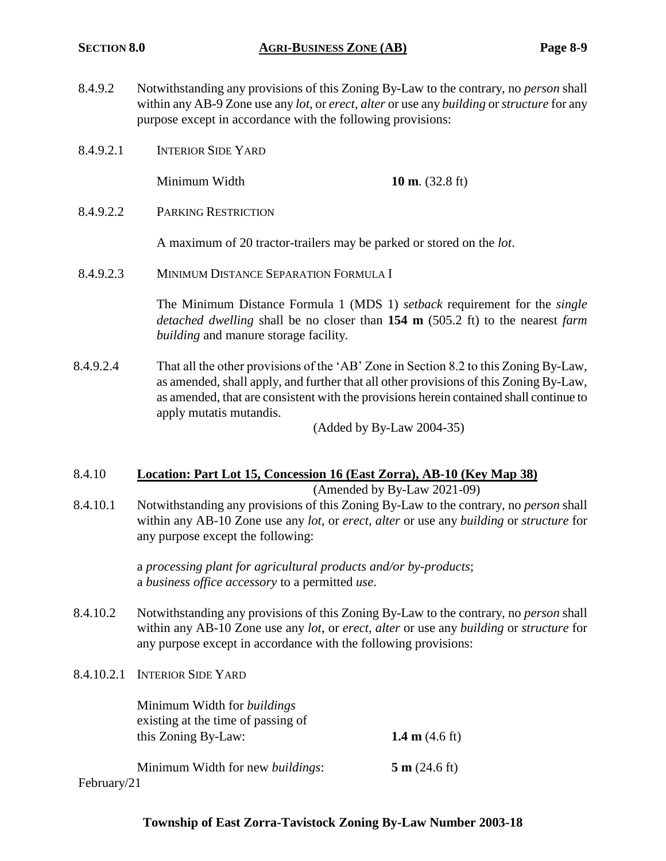- 8.4.9.2 Notwithstanding any provisions of this Zoning By-Law to the contrary, no *person* shall within any AB-9 Zone use any *lot*, or *erect, alter* or use any *building* or *structure* for any purpose except in accordance with the following provisions:
- 8.4.9.2.1 INTERIOR SIDE YARD

Minimum Width **10 m**. (32.8 ft)

8.4.9.2.2 PARKING RESTRICTION

A maximum of 20 tractor-trailers may be parked or stored on the *lot*.

8.4.9.2.3 MINIMUM DISTANCE SEPARATION FORMULA I

The Minimum Distance Formula 1 (MDS 1) *setback* requirement for the *single detached dwelling* shall be no closer than **154 m** (505.2 ft) to the nearest *farm building* and manure storage facility.

8.4.9.2.4 That all the other provisions of the 'AB' Zone in Section 8.2 to this Zoning By-Law, as amended, shall apply, and further that all other provisions of this Zoning By-Law, as amended, that are consistent with the provisions herein contained shall continue to apply mutatis mutandis.

(Added by By-Law 2004-35)

# 8.4.10 **Location: Part Lot 15, Concession 16 (East Zorra), AB-10 (Key Map 38)**

(Amended by By-Law 2021-09)

8.4.10.1 Notwithstanding any provisions of this Zoning By-Law to the contrary, no *person* shall within any AB-10 Zone use any *lot*, or *erect, alter* or use any *building* or *structure* for any purpose except the following:

> a *processing plant for agricultural products and/or by-products*; a *business office accessory* to a permitted *use*.

- 8.4.10.2 Notwithstanding any provisions of this Zoning By-Law to the contrary, no *person* shall within any AB-10 Zone use any *lot*, or *erect, alter* or use any *building* or *structure* for any purpose except in accordance with the following provisions:
- 8.4.10.2.1 INTERIOR SIDE YARD

| Minimum Width for <i>buildings</i>       |                          |
|------------------------------------------|--------------------------|
| existing at the time of passing of       |                          |
| this Zoning By-Law:                      | 1.4 m $(4.6 \text{ ft})$ |
| Minimum Width for new <i>buildings</i> : | 5 m (24.6 ft)            |
| February/21                              |                          |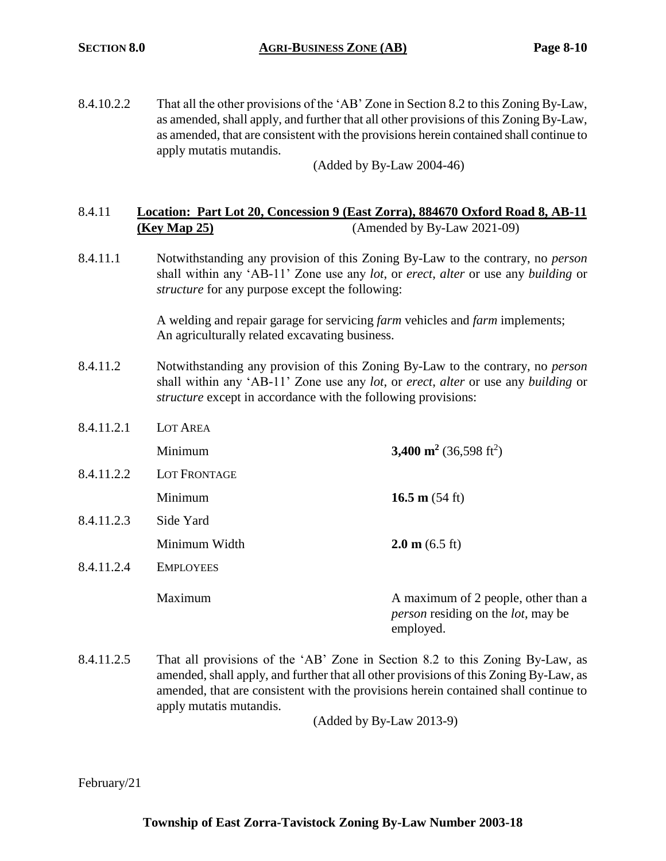8.4.10.2.2 That all the other provisions of the 'AB' Zone in Section 8.2 to this Zoning By-Law, as amended, shall apply, and further that all other provisions of this Zoning By-Law, as amended, that are consistent with the provisions herein contained shall continue to apply mutatis mutandis.

(Added by By-Law 2004-46)

# 8.4.11 **Location: Part Lot 20, Concession 9 (East Zorra), 884670 Oxford Road 8, AB-11 (Key Map 25)** (Amended by By-Law 2021-09)

8.4.11.1 Notwithstanding any provision of this Zoning By-Law to the contrary, no *person* shall within any 'AB-11' Zone use any *lot*, or *erect*, *alter* or use any *building* or *structure* for any purpose except the following:

> A welding and repair garage for servicing *farm* vehicles and *farm* implements; An agriculturally related excavating business.

- 8.4.11.2 Notwithstanding any provision of this Zoning By-Law to the contrary, no *person* shall within any 'AB-11' Zone use any *lot*, or *erect*, *alter* or use any *building* or *structure* except in accordance with the following provisions:
- 8.4.11.2.1 LOT AREA Minimum **3,400 m<sup>2</sup>**  $(36,598 \text{ ft}^2)$ 8.4.11.2.2 LOT FRONTAGE **Minimum 16.5 m** (54 ft) 8.4.11.2.3 Side Yard Minimum Width **2.0 m** (6.5 ft) 8.4.11.2.4 EMPLOYEES Maximum A maximum of 2 people, other than a *person* residing on the *lot*, may be employed.
- 8.4.11.2.5 That all provisions of the 'AB' Zone in Section 8.2 to this Zoning By-Law, as amended, shall apply, and further that all other provisions of this Zoning By-Law, as amended, that are consistent with the provisions herein contained shall continue to apply mutatis mutandis.

(Added by By-Law 2013-9)

February/21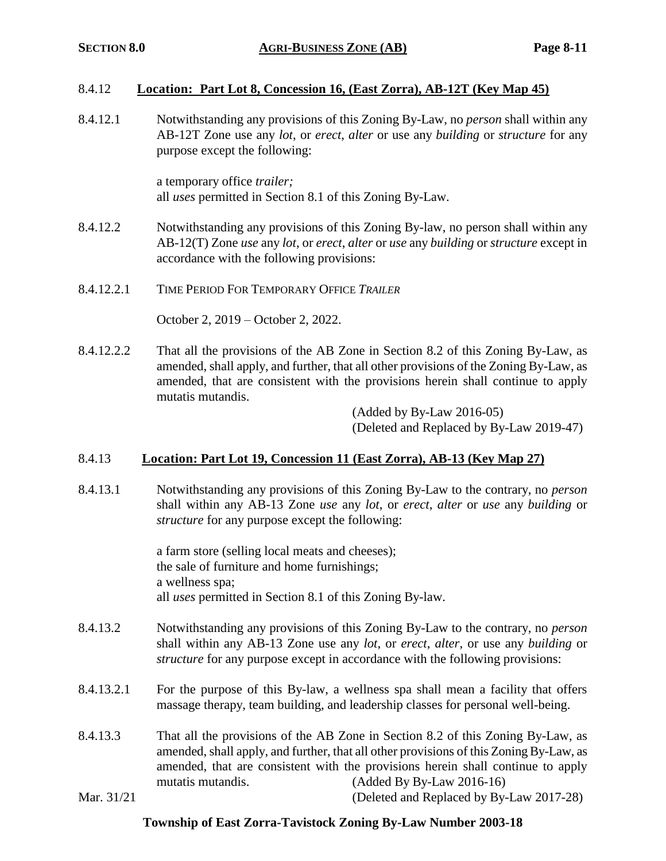# 8.4.12 **Location: Part Lot 8, Concession 16, (East Zorra), AB-12T (Key Map 45)**

8.4.12.1 Notwithstanding any provisions of this Zoning By-Law, no *person* shall within any AB-12T Zone use any *lot*, or *erect*, *alter* or use any *building* or *structure* for any purpose except the following:

> a temporary office *trailer;* all *uses* permitted in Section 8.1 of this Zoning By-Law.

- 8.4.12.2 Notwithstanding any provisions of this Zoning By-law, no person shall within any AB-12(T) Zone *use* any *lot*, or *erect*, *alter* or *use* any *building* or *structure* except in accordance with the following provisions:
- 8.4.12.2.1 TIME PERIOD FOR TEMPORARY OFFICE *TRAILER*

October 2, 2019 – October 2, 2022.

8.4.12.2.2 That all the provisions of the AB Zone in Section 8.2 of this Zoning By-Law, as amended, shall apply, and further, that all other provisions of the Zoning By-Law, as amended, that are consistent with the provisions herein shall continue to apply mutatis mutandis.

> (Added by By-Law 2016-05) (Deleted and Replaced by By-Law 2019-47)

# 8.4.13 **Location: Part Lot 19, Concession 11 (East Zorra), AB-13 (Key Map 27)**

8.4.13.1 Notwithstanding any provisions of this Zoning By-Law to the contrary, no *person* shall within any AB-13 Zone *use* any *lot*, or *erect*, *alter* or *use* any *building* or *structure* for any purpose except the following:

> a farm store (selling local meats and cheeses); the sale of furniture and home furnishings; a wellness spa; all *uses* permitted in Section 8.1 of this Zoning By-law.

- 8.4.13.2 Notwithstanding any provisions of this Zoning By-Law to the contrary, no *person* shall within any AB-13 Zone use any *lot*, or *erect*, *alter*, or use any *building* or *structure* for any purpose except in accordance with the following provisions:
- 8.4.13.2.1 For the purpose of this By-law, a wellness spa shall mean a facility that offers massage therapy, team building, and leadership classes for personal well-being.
- 8.4.13.3 That all the provisions of the AB Zone in Section 8.2 of this Zoning By-Law, as amended, shall apply, and further, that all other provisions of this Zoning By-Law, as amended, that are consistent with the provisions herein shall continue to apply mutatis mutandis. (Added By By-Law 2016-16)

# Mar. 31/21 (Deleted and Replaced by By-Law 2017-28)